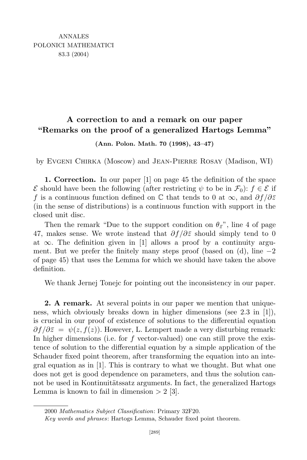## **A correction to and a remark on our paper "Remarks on the proof of a generalized Hartogs Lemma"**

**(Ann. Polon. Math. 70 (1998), 43–47)**

by Evgeni Chirka (Moscow) and Jean-Pierre Rosay (Madison, WI)

**1. Correction.** In our paper [1] on page 45 the definition of the space *E* should have been the following (after restricting  $\psi$  to be in  $\mathcal{F}_0$ ):  $f \in \mathcal{E}$  if *f* is a continuous function defined on C that tends to 0 at *∞*, and *∂f/∂z* (in the sense of distributions) is a continuous function with support in the closed unit disc.

Then the remark "Due to the support condition on  $\theta_{\bar{z}}$ ", line 4 of page 47, makes sense. We wrote instead that *∂f/∂z* should simply tend to 0 at *∞*. The definition given in [1] allows a proof by a continuity argument. But we prefer the finitely many steps proof (based on (d), line *−*2 of page 45) that uses the Lemma for which we should have taken the above definition.

We thank Jernej Tonejc for pointing out the inconsistency in our paper.

**2. A remark.** At several points in our paper we mention that uniqueness, which obviously breaks down in higher dimensions (see 2.3 in [1]), is crucial in our proof of existence of solutions to the differential equation  $\partial f/\partial \overline{z} = \psi(z, f(z))$ . However, L. Lempert made a very disturbing remark: In higher dimensions (i.e. for *f* vector-valued) one can still prove the existence of solution to the differential equation by a simple application of the Schauder fixed point theorem, after transforming the equation into an integral equation as in [1]. This is contrary to what we thought. But what one does not get is good dependence on parameters, and thus the solution cannot be used in Kontinuitätssatz arguments. In fact, the generalized Hartogs Lemma is known to fail in dimension  $> 2$  [3].

<sup>2000</sup> *Mathematics Subject Classification*: Primary 32F20.

*Key words and phrases*: Hartogs Lemma, Schauder fixed point theorem.